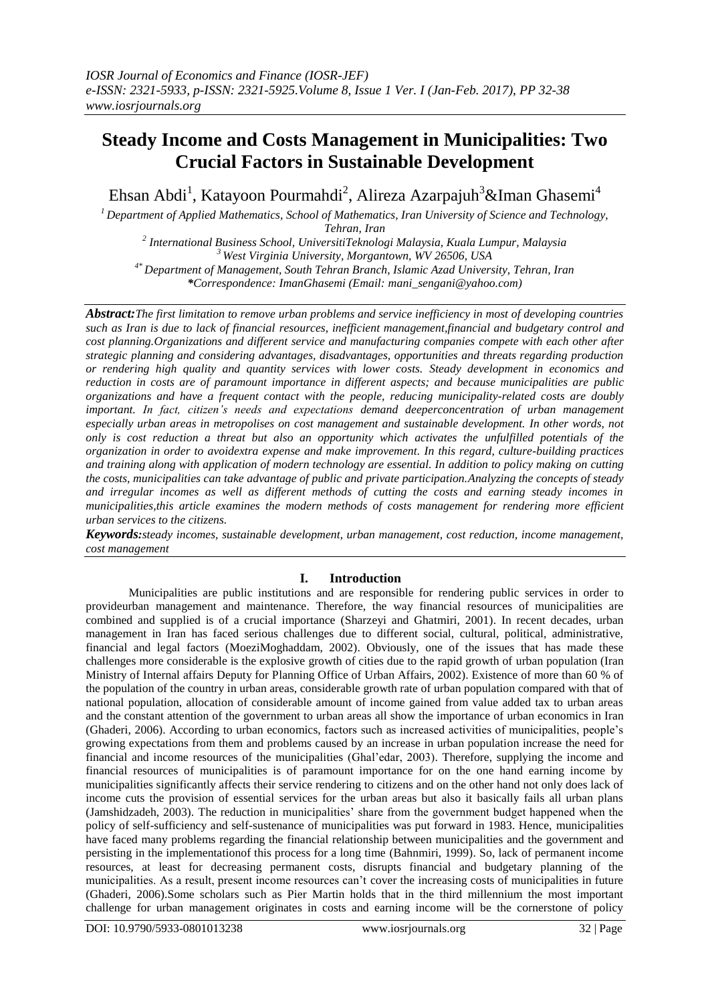# **Steady Income and Costs Management in Municipalities: Two Crucial Factors in Sustainable Development**

Ehsan Abdi<sup>1</sup>, Katayoon Pourmahdi<sup>2</sup>, Alireza Azarpajuh $^3$ &Iman Ghasemi $^4$ 

*<sup>1</sup>Department of Applied Mathematics, School of Mathematics, Iran University of Science and Technology, Tehran, Iran*

*2 International Business School, UniversitiTeknologi Malaysia, Kuala Lumpur, Malaysia <sup>3</sup>West Virginia University, Morgantown, WV 26506, USA 4\* Department of Management, South Tehran Branch, Islamic Azad University, Tehran, Iran \*Correspondence: ImanGhasemi (Email: [mani\\_sengani@yahoo.com\)](mailto:mani_sengani@yahoo.com)*

*Abstract:The first limitation to remove urban problems and service inefficiency in most of developing countries such as Iran is due to lack of financial resources, inefficient management,financial and budgetary control and cost planning.Organizations and different service and manufacturing companies compete with each other after strategic planning and considering advantages, disadvantages, opportunities and threats regarding production or rendering high quality and quantity services with lower costs. Steady development in economics and reduction in costs are of paramount importance in different aspects; and because municipalities are public organizations and have a frequent contact with the people, reducing municipality-related costs are doubly important. In fact, citizen's needs and expectations demand deeperconcentration of urban management especially urban areas in metropolises on cost management and sustainable development. In other words, not only is cost reduction a threat but also an opportunity which activates the unfulfilled potentials of the organization in order to avoidextra expense and make improvement. In this regard, culture-building practices and training along with application of modern technology are essential. In addition to policy making on cutting the costs, municipalities can take advantage of public and private participation.Analyzing the concepts of steady and irregular incomes as well as different methods of cutting the costs and earning steady incomes in municipalities,this article examines the modern methods of costs management for rendering more efficient urban services to the citizens.* 

*Keywords:steady incomes, sustainable development, urban management, cost reduction, income management, cost management*

# **I. Introduction**

Municipalities are public institutions and are responsible for rendering public services in order to provideurban management and maintenance. Therefore, the way financial resources of municipalities are combined and supplied is of a crucial importance (Sharzeyi and Ghatmiri, 2001). In recent decades, urban management in Iran has faced serious challenges due to different social, cultural, political, administrative, financial and legal factors (MoeziMoghaddam, 2002). Obviously, one of the issues that has made these challenges more considerable is the explosive growth of cities due to the rapid growth of urban population (Iran Ministry of Internal affairs Deputy for Planning Office of Urban Affairs, 2002). Existence of more than 60 % of the population of the country in urban areas, considerable growth rate of urban population compared with that of national population, allocation of considerable amount of income gained from value added tax to urban areas and the constant attention of the government to urban areas all show the importance of urban economics in Iran (Ghaderi, 2006). According to urban economics, factors such as increased activities of municipalities, people's growing expectations from them and problems caused by an increase in urban population increase the need for financial and income resources of the municipalities (Ghal'edar, 2003). Therefore, supplying the income and financial resources of municipalities is of paramount importance for on the one hand earning income by municipalities significantly affects their service rendering to citizens and on the other hand not only does lack of income cuts the provision of essential services for the urban areas but also it basically fails all urban plans (Jamshidzadeh, 2003). The reduction in municipalities' share from the government budget happened when the policy of self-sufficiency and self-sustenance of municipalities was put forward in 1983. Hence, municipalities have faced many problems regarding the financial relationship between municipalities and the government and persisting in the implementationof this process for a long time (Bahnmiri, 1999). So, lack of permanent income resources, at least for decreasing permanent costs, disrupts financial and budgetary planning of the municipalities. As a result, present income resources can't cover the increasing costs of municipalities in future (Ghaderi, 2006).Some scholars such as Pier Martin holds that in the third millennium the most important challenge for urban management originates in costs and earning income will be the cornerstone of policy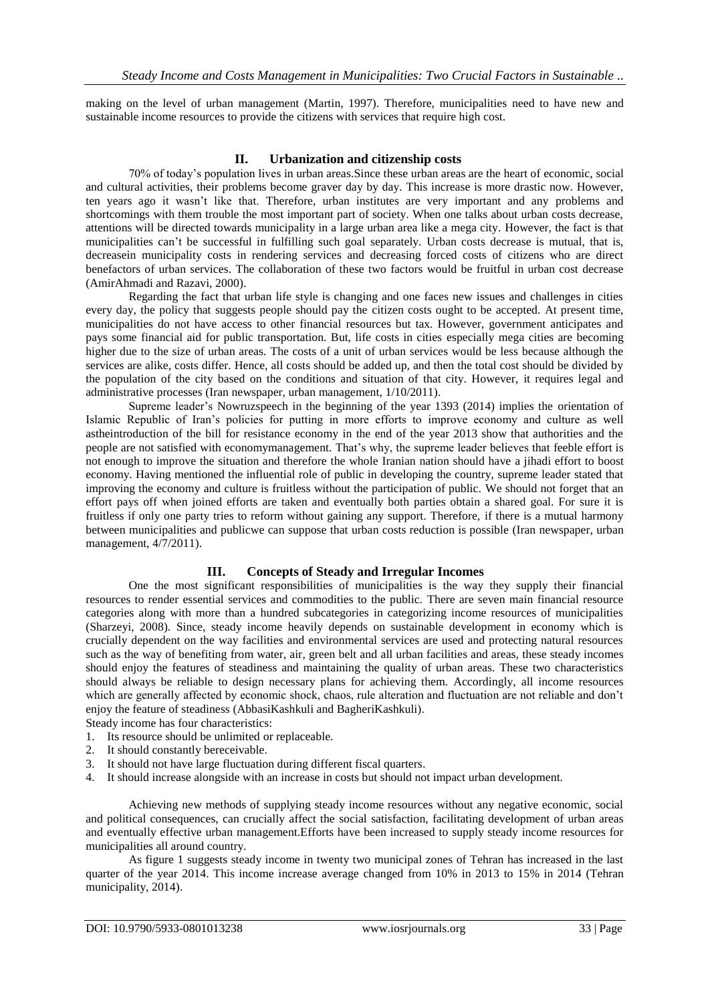making on the level of urban management (Martin, 1997). Therefore, municipalities need to have new and sustainable income resources to provide the citizens with services that require high cost.

## **II. Urbanization and citizenship costs**

70% of today's population lives in urban areas.Since these urban areas are the heart of economic, social and cultural activities, their problems become graver day by day. This increase is more drastic now. However, ten years ago it wasn't like that. Therefore, urban institutes are very important and any problems and shortcomings with them trouble the most important part of society. When one talks about urban costs decrease, attentions will be directed towards municipality in a large urban area like a mega city. However, the fact is that municipalities can't be successful in fulfilling such goal separately. Urban costs decrease is mutual, that is, decreasein municipality costs in rendering services and decreasing forced costs of citizens who are direct benefactors of urban services. The collaboration of these two factors would be fruitful in urban cost decrease (AmirAhmadi and Razavi, 2000).

Regarding the fact that urban life style is changing and one faces new issues and challenges in cities every day, the policy that suggests people should pay the citizen costs ought to be accepted. At present time, municipalities do not have access to other financial resources but tax. However, government anticipates and pays some financial aid for public transportation. But, life costs in cities especially mega cities are becoming higher due to the size of urban areas. The costs of a unit of urban services would be less because although the services are alike, costs differ. Hence, all costs should be added up, and then the total cost should be divided by the population of the city based on the conditions and situation of that city. However, it requires legal and administrative processes (Iran newspaper, urban management, 1/10/2011).

Supreme leader's Nowruzspeech in the beginning of the year 1393 (2014) implies the orientation of Islamic Republic of Iran's policies for putting in more efforts to improve economy and culture as well astheintroduction of the bill for resistance economy in the end of the year 2013 show that authorities and the people are not satisfied with economymanagement. That's why, the supreme leader believes that feeble effort is not enough to improve the situation and therefore the whole Iranian nation should have a jihadi effort to boost economy. Having mentioned the influential role of public in developing the country, supreme leader stated that improving the economy and culture is fruitless without the participation of public. We should not forget that an effort pays off when joined efforts are taken and eventually both parties obtain a shared goal. For sure it is fruitless if only one party tries to reform without gaining any support. Therefore, if there is a mutual harmony between municipalities and publicwe can suppose that urban costs reduction is possible (Iran newspaper, urban management, 4/7/2011).

# **III. Concepts of Steady and Irregular Incomes**

One the most significant responsibilities of municipalities is the way they supply their financial resources to render essential services and commodities to the public. There are seven main financial resource categories along with more than a hundred subcategories in categorizing income resources of municipalities (Sharzeyi, 2008). Since, steady income heavily depends on sustainable development in economy which is crucially dependent on the way facilities and environmental services are used and protecting natural resources such as the way of benefiting from water, air, green belt and all urban facilities and areas, these steady incomes should enjoy the features of steadiness and maintaining the quality of urban areas. These two characteristics should always be reliable to design necessary plans for achieving them. Accordingly, all income resources which are generally affected by economic shock, chaos, rule alteration and fluctuation are not reliable and don't enjoy the feature of steadiness (AbbasiKashkuli and BagheriKashkuli).

Steady income has four characteristics:

- 1. Its resource should be unlimited or replaceable.
- 2. It should constantly bereceivable.
- 3. It should not have large fluctuation during different fiscal quarters.
- 4. It should increase alongside with an increase in costs but should not impact urban development.

Achieving new methods of supplying steady income resources without any negative economic, social and political consequences, can crucially affect the social satisfaction, facilitating development of urban areas and eventually effective urban management.Efforts have been increased to supply steady income resources for municipalities all around country.

As figure 1 suggests steady income in twenty two municipal zones of Tehran has increased in the last quarter of the year 2014. This income increase average changed from 10% in 2013 to 15% in 2014 (Tehran municipality, 2014).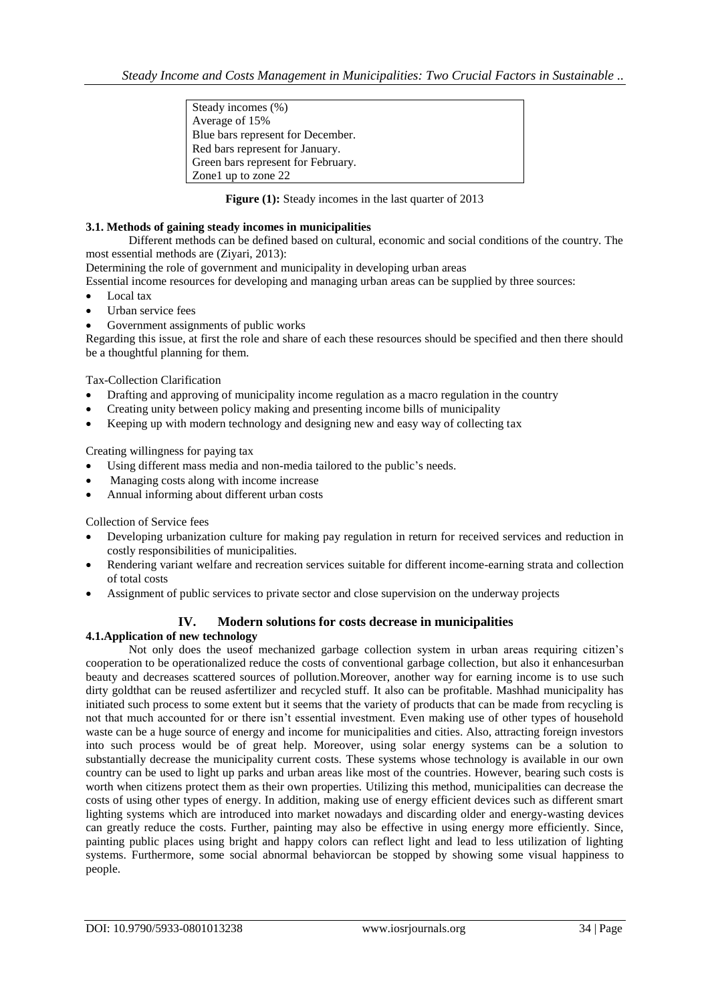| Steady incomes (%)                 |  |
|------------------------------------|--|
| Average of 15%                     |  |
| Blue bars represent for December.  |  |
| Red bars represent for January.    |  |
| Green bars represent for February. |  |
| Zone1 up to zone 22                |  |

**Figure (1):** Steady incomes in the last quarter of 2013

#### **3.1. Methods of gaining steady incomes in municipalities**

Different methods can be defined based on cultural, economic and social conditions of the country. The most essential methods are (Ziyari, 2013):

Determining the role of government and municipality in developing urban areas

Essential income resources for developing and managing urban areas can be supplied by three sources:

- Local tax
- Urban service fees
- Government assignments of public works

Regarding this issue, at first the role and share of each these resources should be specified and then there should be a thoughtful planning for them.

Tax-Collection Clarification

- Drafting and approving of municipality income regulation as a macro regulation in the country
- Creating unity between policy making and presenting income bills of municipality
- Keeping up with modern technology and designing new and easy way of collecting tax

Creating willingness for paying tax

- Using different mass media and non-media tailored to the public's needs.
- Managing costs along with income increase
- Annual informing about different urban costs

Collection of Service fees

- Developing urbanization culture for making pay regulation in return for received services and reduction in costly responsibilities of municipalities.
- Rendering variant welfare and recreation services suitable for different income-earning strata and collection of total costs
- Assignment of public services to private sector and close supervision on the underway projects

# **IV. Modern solutions for costs decrease in municipalities**

## **4.1.Application of new technology**

Not only does the useof mechanized garbage collection system in urban areas requiring citizen's cooperation to be operationalized reduce the costs of conventional garbage collection, but also it enhancesurban beauty and decreases scattered sources of pollution.Moreover, another way for earning income is to use such dirty goldthat can be reused asfertilizer and recycled stuff. It also can be profitable. Mashhad municipality has initiated such process to some extent but it seems that the variety of products that can be made from recycling is not that much accounted for or there isn't essential investment. Even making use of other types of household waste can be a huge source of energy and income for municipalities and cities. Also, attracting foreign investors into such process would be of great help. Moreover, using solar energy systems can be a solution to substantially decrease the municipality current costs. These systems whose technology is available in our own country can be used to light up parks and urban areas like most of the countries. However, bearing such costs is worth when citizens protect them as their own properties. Utilizing this method, municipalities can decrease the costs of using other types of energy. In addition, making use of energy efficient devices such as different smart lighting systems which are introduced into market nowadays and discarding older and energy-wasting devices can greatly reduce the costs. Further, painting may also be effective in using energy more efficiently. Since, painting public places using bright and happy colors can reflect light and lead to less utilization of lighting systems. Furthermore, some social abnormal behaviorcan be stopped by showing some visual happiness to people.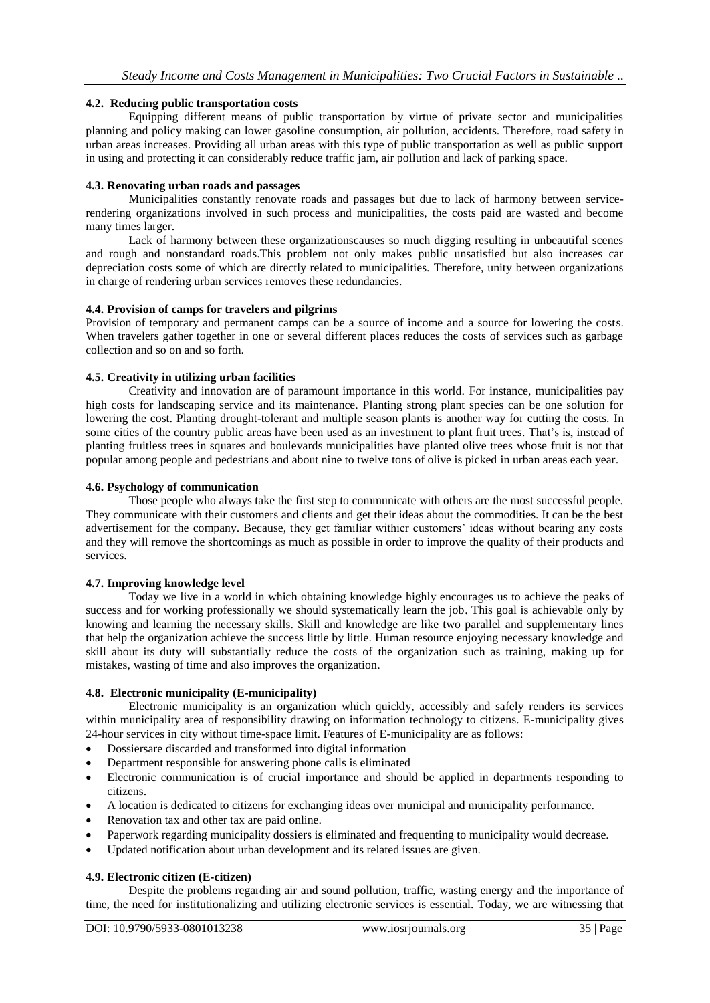## **4.2. Reducing public transportation costs**

Equipping different means of public transportation by virtue of private sector and municipalities planning and policy making can lower gasoline consumption, air pollution, accidents. Therefore, road safety in urban areas increases. Providing all urban areas with this type of public transportation as well as public support in using and protecting it can considerably reduce traffic jam, air pollution and lack of parking space.

## **4.3. Renovating urban roads and passages**

Municipalities constantly renovate roads and passages but due to lack of harmony between servicerendering organizations involved in such process and municipalities, the costs paid are wasted and become many times larger.

Lack of harmony between these organizationscauses so much digging resulting in unbeautiful scenes and rough and nonstandard roads.This problem not only makes public unsatisfied but also increases car depreciation costs some of which are directly related to municipalities. Therefore, unity between organizations in charge of rendering urban services removes these redundancies.

## **4.4. Provision of camps for travelers and pilgrims**

Provision of temporary and permanent camps can be a source of income and a source for lowering the costs. When travelers gather together in one or several different places reduces the costs of services such as garbage collection and so on and so forth.

## **4.5. Creativity in utilizing urban facilities**

Creativity and innovation are of paramount importance in this world. For instance, municipalities pay high costs for landscaping service and its maintenance. Planting strong plant species can be one solution for lowering the cost. Planting drought-tolerant and multiple season plants is another way for cutting the costs. In some cities of the country public areas have been used as an investment to plant fruit trees. That's is, instead of planting fruitless trees in squares and boulevards municipalities have planted olive trees whose fruit is not that popular among people and pedestrians and about nine to twelve tons of olive is picked in urban areas each year.

## **4.6. Psychology of communication**

Those people who always take the first step to communicate with others are the most successful people. They communicate with their customers and clients and get their ideas about the commodities. It can be the best advertisement for the company. Because, they get familiar withier customers' ideas without bearing any costs and they will remove the shortcomings as much as possible in order to improve the quality of their products and services.

# **4.7. Improving knowledge level**

Today we live in a world in which obtaining knowledge highly encourages us to achieve the peaks of success and for working professionally we should systematically learn the job. This goal is achievable only by knowing and learning the necessary skills. Skill and knowledge are like two parallel and supplementary lines that help the organization achieve the success little by little. Human resource enjoying necessary knowledge and skill about its duty will substantially reduce the costs of the organization such as training, making up for mistakes, wasting of time and also improves the organization.

## **4.8. Electronic municipality (E-municipality)**

Electronic municipality is an organization which quickly, accessibly and safely renders its services within municipality area of responsibility drawing on information technology to citizens. E-municipality gives 24-hour services in city without time-space limit. Features of E-municipality are as follows:

- Dossiersare discarded and transformed into digital information
- Department responsible for answering phone calls is eliminated
- Electronic communication is of crucial importance and should be applied in departments responding to citizens.
- A location is dedicated to citizens for exchanging ideas over municipal and municipality performance.
- Renovation tax and other tax are paid online.
- Paperwork regarding municipality dossiers is eliminated and frequenting to municipality would decrease.
- Updated notification about urban development and its related issues are given.

# **4.9. Electronic citizen (E-citizen)**

Despite the problems regarding air and sound pollution, traffic, wasting energy and the importance of time, the need for institutionalizing and utilizing electronic services is essential. Today, we are witnessing that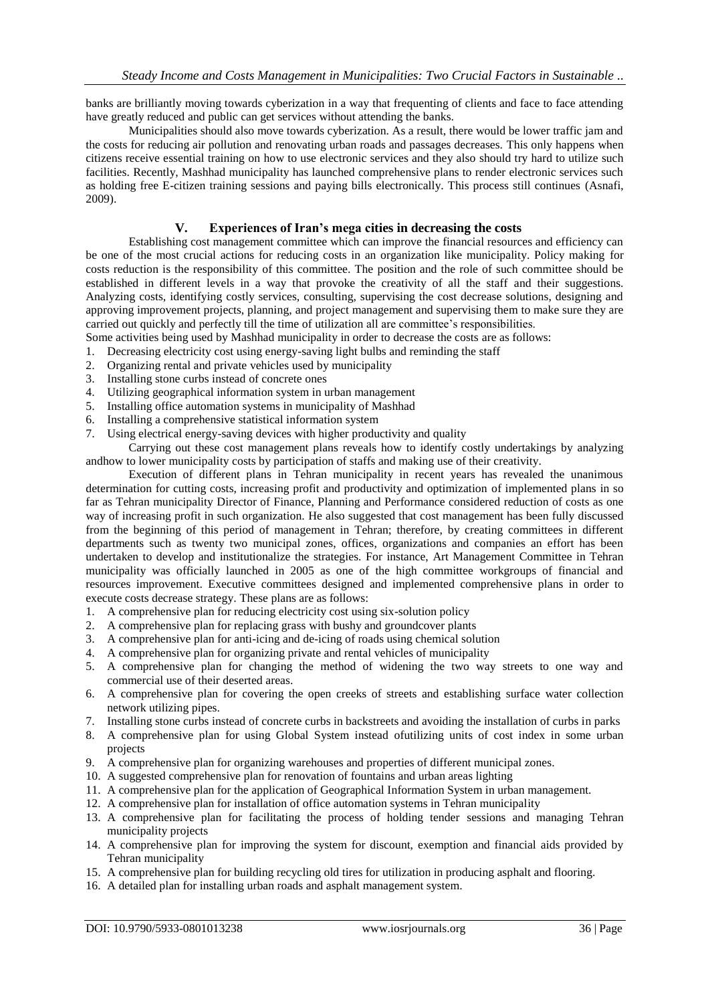banks are brilliantly moving towards cyberization in a way that frequenting of clients and face to face attending have greatly reduced and public can get services without attending the banks.

Municipalities should also move towards cyberization. As a result, there would be lower traffic jam and the costs for reducing air pollution and renovating urban roads and passages decreases. This only happens when citizens receive essential training on how to use electronic services and they also should try hard to utilize such facilities. Recently, Mashhad municipality has launched comprehensive plans to render electronic services such as holding free E-citizen training sessions and paying bills electronically. This process still continues (Asnafi, 2009).

# **V. Experiences of Iran's mega cities in decreasing the costs**

Establishing cost management committee which can improve the financial resources and efficiency can be one of the most crucial actions for reducing costs in an organization like municipality. Policy making for costs reduction is the responsibility of this committee. The position and the role of such committee should be established in different levels in a way that provoke the creativity of all the staff and their suggestions. Analyzing costs, identifying costly services, consulting, supervising the cost decrease solutions, designing and approving improvement projects, planning, and project management and supervising them to make sure they are carried out quickly and perfectly till the time of utilization all are committee's responsibilities.

Some activities being used by Mashhad municipality in order to decrease the costs are as follows:

1. Decreasing electricity cost using energy-saving light bulbs and reminding the staff

- 2. Organizing rental and private vehicles used by municipality
- 3. Installing stone curbs instead of concrete ones
- 4. Utilizing geographical information system in urban management
- 5. Installing office automation systems in municipality of Mashhad
- 6. Installing a comprehensive statistical information system
- 7. Using electrical energy-saving devices with higher productivity and quality

Carrying out these cost management plans reveals how to identify costly undertakings by analyzing andhow to lower municipality costs by participation of staffs and making use of their creativity.

Execution of different plans in Tehran municipality in recent years has revealed the unanimous determination for cutting costs, increasing profit and productivity and optimization of implemented plans in so far as Tehran municipality Director of Finance, Planning and Performance considered reduction of costs as one way of increasing profit in such organization. He also suggested that cost management has been fully discussed from the beginning of this period of management in Tehran; therefore, by creating committees in different departments such as twenty two municipal zones, offices, organizations and companies an effort has been undertaken to develop and institutionalize the strategies. For instance, Art Management Committee in Tehran municipality was officially launched in 2005 as one of the high committee workgroups of financial and resources improvement. Executive committees designed and implemented comprehensive plans in order to execute costs decrease strategy. These plans are as follows:

- 1. A comprehensive plan for reducing electricity cost using six-solution policy
- 2. A comprehensive plan for replacing grass with bushy and groundcover plants
- 3. A comprehensive plan for anti-icing and de-icing of roads using chemical solution
- 4. A comprehensive plan for organizing private and rental vehicles of municipality
- 5. A comprehensive plan for changing the method of widening the two way streets to one way and commercial use of their deserted areas.
- 6. A comprehensive plan for covering the open creeks of streets and establishing surface water collection network utilizing pipes.
- 7. Installing stone curbs instead of concrete curbs in backstreets and avoiding the installation of curbs in parks
- 8. A comprehensive plan for using Global System instead ofutilizing units of cost index in some urban projects
- 9. A comprehensive plan for organizing warehouses and properties of different municipal zones.
- 10. A suggested comprehensive plan for renovation of fountains and urban areas lighting
- 11. A comprehensive plan for the application of Geographical Information System in urban management.
- 12. A comprehensive plan for installation of office automation systems in Tehran municipality
- 13. A comprehensive plan for facilitating the process of holding tender sessions and managing Tehran municipality projects
- 14. A comprehensive plan for improving the system for discount, exemption and financial aids provided by Tehran municipality
- 15. A comprehensive plan for building recycling old tires for utilization in producing asphalt and flooring.
- 16. A detailed plan for installing urban roads and asphalt management system.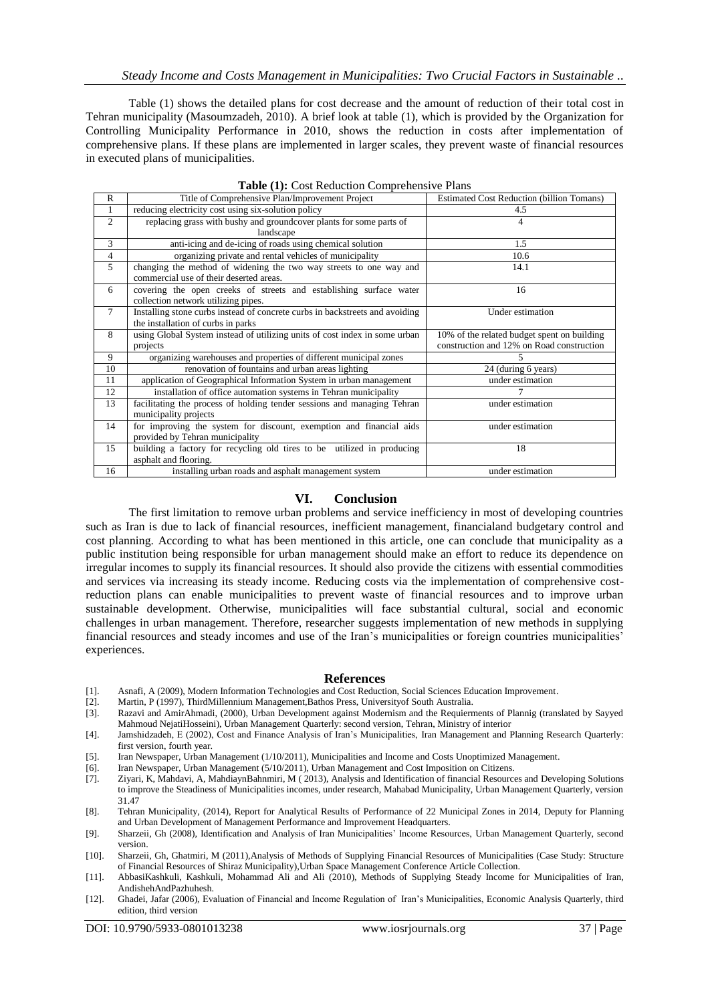Table (1) shows the detailed plans for cost decrease and the amount of reduction of their total cost in Tehran municipality (Masoumzadeh, 2010). A brief look at table (1), which is provided by the Organization for Controlling Municipality Performance in 2010, shows the reduction in costs after implementation of comprehensive plans. If these plans are implemented in larger scales, they prevent waste of financial resources in executed plans of municipalities.

|                | <b>Table</b> (1). Cost Reduction Complements of Tans                         |                                                  |
|----------------|------------------------------------------------------------------------------|--------------------------------------------------|
| R              | Title of Comprehensive Plan/Improvement Project                              | <b>Estimated Cost Reduction (billion Tomans)</b> |
| $\mathbf{1}$   | reducing electricity cost using six-solution policy                          | 4.5                                              |
| $\overline{2}$ | replacing grass with bushy and groundcover plants for some parts of          | 4                                                |
|                | landscape                                                                    |                                                  |
| 3              | anti-icing and de-icing of roads using chemical solution                     | 1.5                                              |
| $\overline{4}$ | organizing private and rental vehicles of municipality                       | 10.6                                             |
| 5              | changing the method of widening the two way streets to one way and           | 14.1                                             |
|                | commercial use of their deserted areas.                                      |                                                  |
| 6              | covering the open creeks of streets and establishing surface water           | 16                                               |
|                | collection network utilizing pipes.                                          |                                                  |
| $\tau$         | Installing stone curbs instead of concrete curbs in backstreets and avoiding | Under estimation                                 |
|                | the installation of curbs in parks                                           |                                                  |
| 8              | using Global System instead of utilizing units of cost index in some urban   | 10% of the related budget spent on building      |
|                | projects                                                                     | construction and 12% on Road construction        |
| 9              | organizing warehouses and properties of different municipal zones            | 5                                                |
| 10             | renovation of fountains and urban areas lighting                             | 24 (during 6 years)                              |
| 11             | application of Geographical Information System in urban management           | under estimation                                 |
| 12             | installation of office automation systems in Tehran municipality             |                                                  |
| 13             | facilitating the process of holding tender sessions and managing Tehran      | under estimation                                 |
|                | municipality projects                                                        |                                                  |
| 14             | for improving the system for discount, exemption and financial aids          | under estimation                                 |
|                | provided by Tehran municipality                                              |                                                  |
| 15             | building a factory for recycling old tires to be utilized in producing       | 18                                               |
|                | asphalt and flooring.                                                        |                                                  |
| 16             | installing urban roads and asphalt management system                         | under estimation                                 |

|  |  | Table (1): Cost Reduction Comprehensive Plans |  |
|--|--|-----------------------------------------------|--|
|--|--|-----------------------------------------------|--|

## **VI. Conclusion**

The first limitation to remove urban problems and service inefficiency in most of developing countries such as Iran is due to lack of financial resources, inefficient management, financialand budgetary control and cost planning. According to what has been mentioned in this article, one can conclude that municipality as a public institution being responsible for urban management should make an effort to reduce its dependence on irregular incomes to supply its financial resources. It should also provide the citizens with essential commodities and services via increasing its steady income. Reducing costs via the implementation of comprehensive costreduction plans can enable municipalities to prevent waste of financial resources and to improve urban sustainable development. Otherwise, municipalities will face substantial cultural, social and economic challenges in urban management. Therefore, researcher suggests implementation of new methods in supplying financial resources and steady incomes and use of the Iran's municipalities or foreign countries municipalities' experiences.

## **References**

- [1]. Asnafi, A (2009), Modern Information Technologies and Cost Reduction, Social Sciences Education Improvement.<br>
[2]. Martin, P (1997), ThirdMillennium Management, Bathos Press, University of South Australia.<br>
[3]. Razav
- [2]. Martin, P (1997), ThirdMillennium Management,Bathos Press, Universityof South Australia.
- Razavi and AmirAhmadi, (2000), Urban Development against Modernism and the Requierments of Plannig (translated by Sayyed Mahmoud NejatiHosseini), Urban Management Quarterly: second version, Tehran, Ministry of interior
- [4]. Jamshidzadeh, E (2002), Cost and Finance Analysis of Iran's Municipalities, Iran Management and Planning Research Quarterly: first version, fourth year.
- [5]. Iran Newspaper, Urban Management (1/10/2011), Municipalities and Income and Costs Unoptimized Management.
- [6]. Iran Newspaper, Urban Management (5/10/2011), Urban Management and Cost Imposition on Citizens.
- [7]. Ziyari, K, Mahdavi, A, MahdiaynBahnmiri, M ( 2013), Analysis and Identification of financial Resources and Developing Solutions to improve the Steadiness of Municipalities incomes, under research, Mahabad Municipality, Urban Management Quarterly, version 31.47
- [8]. Tehran Municipality, (2014), Report for Analytical Results of Performance of 22 Municipal Zones in 2014, Deputy for Planning and Urban Development of Management Performance and Improvement Headquarters.
- [9]. Sharzeii, Gh (2008), Identification and Analysis of Iran Municipalities' Income Resources, Urban Management Quarterly, second version.
- [10]. Sharzeii, Gh, Ghatmiri, M (2011),Analysis of Methods of Supplying Financial Resources of Municipalities (Case Study: Structure of Financial Resources of Shiraz Municipality),Urban Space Management Conference Article Collection.
- [11]. AbbasiKashkuli, Kashkuli, Mohammad Ali and Ali (2010), Methods of Supplying Steady Income for Municipalities of Iran, AndishehAndPazhuhesh.
- [12]. Ghadei, Jafar (2006), Evaluation of Financial and Income Regulation of Iran's Municipalities, Economic Analysis Quarterly, third edition, third version